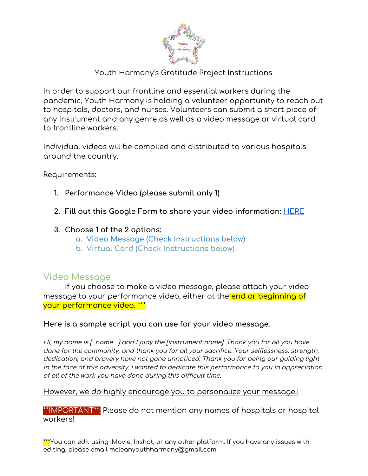

### Youth Harmony's Gratitude Project Instructions

In order to support our frontline and essential workers during the pandemic, Youth Harmony is holding a volunteer opportunity to reach out to hospitals, doctors, and nurses. Volunteers can submit a short piece of any instrument and any genre as well as a video message or virtual card to frontline workers.

Individual videos will be compiled and distributed to various hospitals around the country.

Requirements:

- **1. Performance Video (please submit only 1)**
- **2. Fill out this Google Form to share your video information: [HERE](https://forms.gle/beJqXc2Gg8DmXaHA8)**
- **3. Choose 1 of the 2 options:**
	- **a. Video Message (Check Instructions below)**
	- **b. Virtual Card (Check Instructions below)**

## **Video Message**

If you choose to make a video message, please attach your video message to your performance video, either at the end or beginning of your performance video. \*\*\*

#### **Here is a sample script you can use for your video message:**

Hi, my name is  $\int$  name  $\int$  and  $\int$  play the finstrument name]. Thank you for all you have done for the community, and thank you for all your sacrifice. Your selflessness, strength, dedication, and bravery have not gone unnoticed. Thank you for being our guiding light in the face of this adversity. I wanted to dedicate this performance to you in appreciation of all of the work you have done during this difficult time.

#### However, we do highly encourage you to personalize your message!!

\*\*IMPORTANT\*\*: Please do not mention any names of hospitals or hospital workers!

\*\*\*You can edit using IMovie, Inshot, or any other platform. If you have any issues with editing, please email mcleanyouthharmony@gmail.com